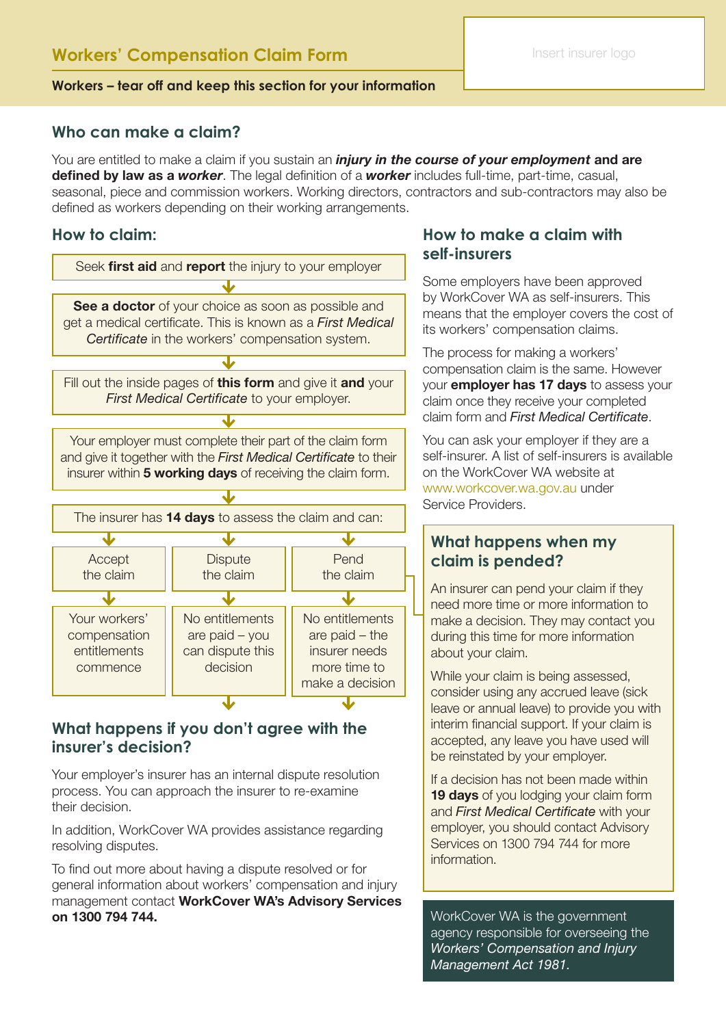### **Workers – tear off and keep this section for your information**

## **Who can make a claim?**

You are entitled to make a claim if you sustain an *injury in the course of your employment* and are defined by law as a *worker*. The legal definition of a *worker* includes full-time, part-time, casual, seasonal, piece and commission workers. Working directors, contractors and sub-contractors may also be defined as workers depending on their working arrangements.

## **How to claim:**



## **What happens if you don't agree with the insurer's decision?**

Your employer's insurer has an internal dispute resolution process. You can approach the insurer to re-examine their decision.

In addition, WorkCover WA provides assistance regarding resolving disputes.

To find out more about having a dispute resolved or for general information about workers' compensation and injury management contact WorkCover WA's Advisory Services on 1300 794 744.

## **How to make a claim with self-insurers**

Some employers have been approved by WorkCover WA as self-insurers. This means that the employer covers the cost of its workers' compensation claims.

The process for making a workers' compensation claim is the same. However your **employer has 17 days** to assess your claim once they receive your completed claim form and *First Medical Certificate*.

You can ask your employer if they are a self-insurer. A list of self-insurers is available on the WorkCover WA website at www.workcover.wa.gov.au under Service Providers.

## **What happens when my claim is pended?**

An insurer can pend your claim if they need more time or more information to make a decision. They may contact you during this time for more information about your claim.

While your claim is being assessed, consider using any accrued leave (sick leave or annual leave) to provide you with interim financial support. If your claim is accepted, any leave you have used will be reinstated by your employer.

If a decision has not been made within 19 days of you lodging your claim form and *First Medical Certificate* with your employer, you should contact Advisory Services on 1300 794 744 for more information.

WorkCover WA is the government agency responsible for overseeing the *Workers' Compensation and Injury Management Act 1981.*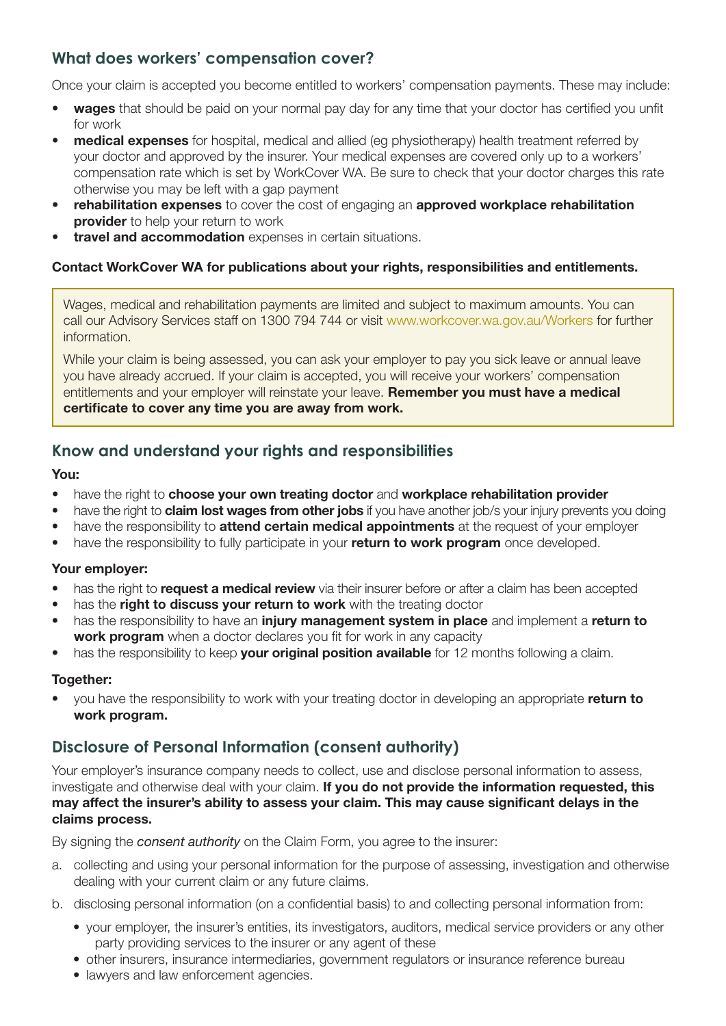# **What does workers' compensation cover?**

Once your claim is accepted you become entitled to workers' compensation payments. These may include:

- wages that should be paid on your normal pay day for any time that your doctor has certified you unfit for work
- **medical expenses** for hospital, medical and allied (eq physiotherapy) health treatment referred by your doctor and approved by the insurer. Your medical expenses are covered only up to a workers' compensation rate which is set by WorkCover WA. Be sure to check that your doctor charges this rate otherwise you may be left with a gap payment
- rehabilitation expenses to cover the cost of engaging an approved workplace rehabilitation **provider** to help your return to work
- travel and accommodation expenses in certain situations.

### Contact WorkCover WA for publications about your rights, responsibilities and entitlements.

Wages, medical and rehabilitation payments are limited and subject to maximum amounts. You can call our Advisory Services staff on 1300 794 744 or visit www.workcover.wa.gov.au/Workers for further information.

While your claim is being assessed, you can ask your employer to pay you sick leave or annual leave you have already accrued. If your claim is accepted, you will receive your workers' compensation entitlements and your employer will reinstate your leave. Remember you must have a medical certificate to cover any time you are away from work.

# **Know and understand your rights and responsibilities**

### You:

- have the right to choose your own treating doctor and workplace rehabilitation provider
- have the right to **claim lost wages from other jobs** if you have another job/s your injury prevents you doing
- have the responsibility to **attend certain medical appointments** at the request of your employer
- have the responsibility to fully participate in your return to work program once developed.

## Your employer:

- has the right to **request a medical review** via their insurer before or after a claim has been accepted
- has the right to discuss your return to work with the treating doctor
- has the responsibility to have an *injury management system in place* and implement a return to work program when a doctor declares you fit for work in any capacity
- has the responsibility to keep your original position available for 12 months following a claim.

## Together:

you have the responsibility to work with your treating doctor in developing an appropriate return to work program.

# **Disclosure of Personal Information (consent authority)**

Your employer's insurance company needs to collect, use and disclose personal information to assess, investigate and otherwise deal with your claim. If you do not provide the information requested, this may affect the insurer's ability to assess your claim. This may cause significant delays in the claims process.

By signing the *consent authority* on the Claim Form, you agree to the insurer:

- a. collecting and using your personal information for the purpose of assessing, investigation and otherwise dealing with your current claim or any future claims.
- b. disclosing personal information (on a confidential basis) to and collecting personal information from:
	- your employer, the insurer's entities, its investigators, auditors, medical service providers or any other party providing services to the insurer or any agent of these
	- other insurers, insurance intermediaries, government regulators or insurance reference bureau
	- lawyers and law enforcement agencies.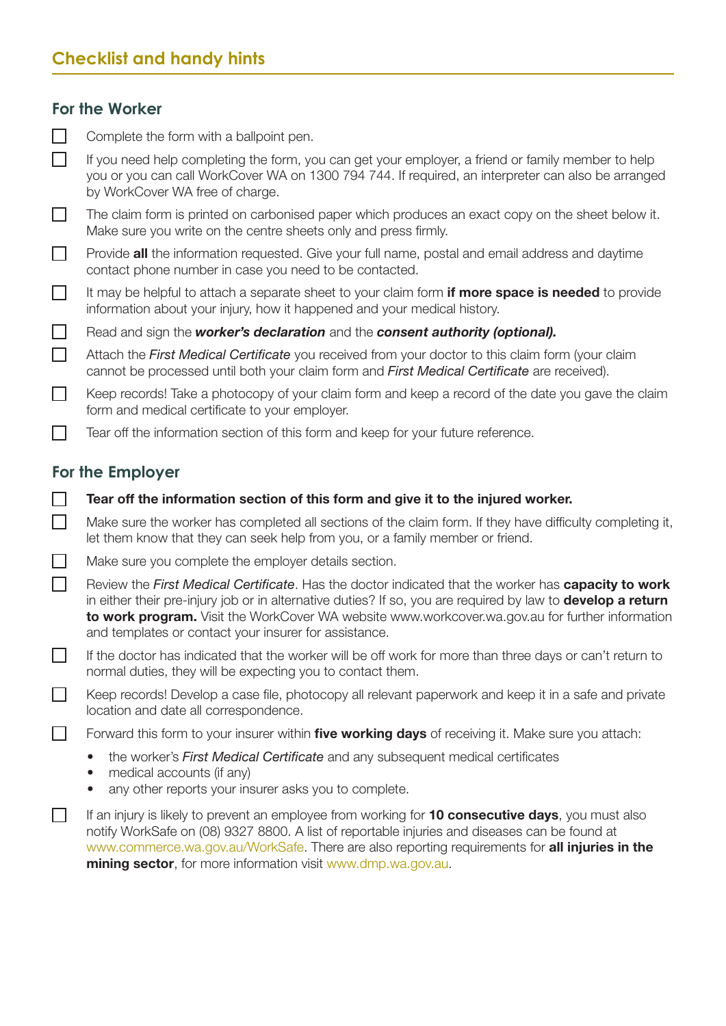# **Checklist and handy hints**

## **For the Worker**

| $\Box$<br>Complete the form with a ballpoint pen. |
|---------------------------------------------------|
|---------------------------------------------------|

 $\Box$ If you need help completing the form, you can get your employer, a friend or family member to help you or you can call WorkCover WA on 1300 794 744. If required, an interpreter can also be arranged by WorkCover WA free of charge.

П The claim form is printed on carbonised paper which produces an exact copy on the sheet below it. Make sure you write on the centre sheets only and press firmly.

 $\Box$ Provide **all** the information requested. Give your full name, postal and email address and daytime contact phone number in case you need to be contacted.

 $\Box$ It may be helpful to attach a separate sheet to your claim form **if more space is needed** to provide information about your injury, how it happened and your medical history.

Read and sign the *worker's declaration* and the *consent authority (optional).*  $\Box$ 

 $\Box$ Attach the *First Medical Certificate* you received from your doctor to this claim form (your claim cannot be processed until both your claim form and *First Medical Certificate* are received).

 $\Box$ Keep records! Take a photocopy of your claim form and keep a record of the date you gave the claim form and medical certificate to your employer.

Tear off the information section of this form and keep for your future reference.

# **For the Employer**

 $\Box$ 

 $\Box$ 

 $\Box$ 

 $\Box$ 

 $\Box$ 

Make sure the worker has completed all sections of the claim form. If they have difficulty completing it, let them know that they can seek help from you, or a family member or friend.

 $\Box$ Make sure you complete the employer details section.

Review the *First Medical Certificate*. Has the doctor indicated that the worker has capacity to work in either their pre-injury job or in alternative duties? If so, you are required by law to **develop a return** to work program. Visit the WorkCover WA website www.workcover.wa.gov.au for further information and templates or contact your insurer for assistance.

 $\Box$ If the doctor has indicated that the worker will be off work for more than three days or can't return to normal duties, they will be expecting you to contact them.

Keep records! Develop a case file, photocopy all relevant paperwork and keep it in a safe and private location and date all correspondence.

Forward this form to your insurer within five working days of receiving it. Make sure you attach:

- the worker's *First Medical Certificate* and any subsequent medical certificates
- medical accounts (if any)
- any other reports your insurer asks you to complete.

П If an injury is likely to prevent an employee from working for 10 consecutive days, you must also notify WorkSafe on (08) 9327 8800. A list of reportable injuries and diseases can be found at www.commerce.wa.gov.au/WorkSafe. There are also reporting requirements for **all injuries in the** mining sector, for more information visit www.dmp.wa.gov.au.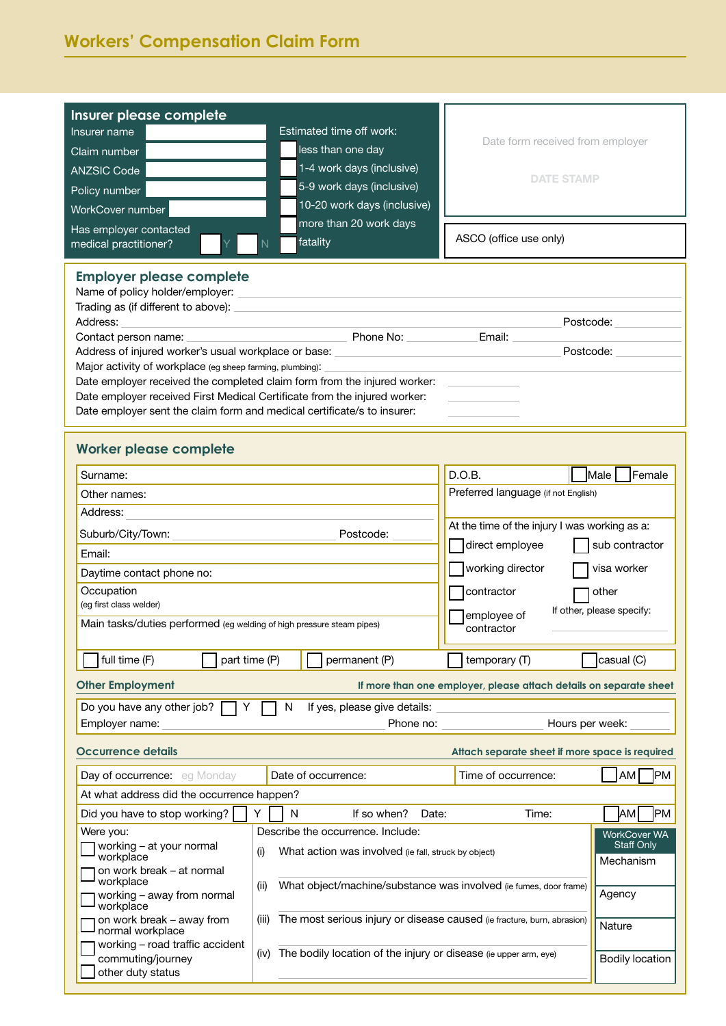| Insurer please complete<br>Insurer name<br>Claim number<br><b>ANZSIC Code</b><br>Policy number<br>WorkCover number                                                                                                                                                                                                                                                                                                                                                                                                                                                                                                                                                                                                                                                                | Estimated time off work:<br>less than one day<br>1-4 work days (inclusive)<br>5-9 work days (inclusive)<br>10-20 work days (inclusive)                    | Date form received from employer<br><b>DATE STAMP</b> |                   |  |  |  |  |
|-----------------------------------------------------------------------------------------------------------------------------------------------------------------------------------------------------------------------------------------------------------------------------------------------------------------------------------------------------------------------------------------------------------------------------------------------------------------------------------------------------------------------------------------------------------------------------------------------------------------------------------------------------------------------------------------------------------------------------------------------------------------------------------|-----------------------------------------------------------------------------------------------------------------------------------------------------------|-------------------------------------------------------|-------------------|--|--|--|--|
| Has employer contacted<br>medical practitioner?                                                                                                                                                                                                                                                                                                                                                                                                                                                                                                                                                                                                                                                                                                                                   | more than 20 work days<br>fatality<br>N                                                                                                                   | ASCO (office use only)                                |                   |  |  |  |  |
| <b>Employer please complete</b><br>Name of policy holder/employer:<br>Trading as (if different to above):<br>Address:<br>Postcode:<br><b>Example 20 Phone No:</b> Phone 20 Phone 20 Phone 20 Phone 20 Phone 20 Phone 20 Phone 20 Phone 20 Phone 20 Phone 20 Phone 20 Phone 20 Phone 20 Phone 20 Phone 20 Phone 20 Phone 20 Phone 20 Phone 20 Phone 20 Phone 20 Phone 20 P<br>Email:<br>Contact person name:<br>Address of injured worker's usual workplace or base:<br>Postcode:<br>Major activity of workplace (eg sheep farming, plumbing):<br>Date employer received the completed claim form from the injured worker:<br>Date employer received First Medical Certificate from the injured worker:<br>Date employer sent the claim form and medical certificate/s to insurer: |                                                                                                                                                           |                                                       |                   |  |  |  |  |
| <b>Worker please complete</b>                                                                                                                                                                                                                                                                                                                                                                                                                                                                                                                                                                                                                                                                                                                                                     |                                                                                                                                                           |                                                       |                   |  |  |  |  |
| Surname:                                                                                                                                                                                                                                                                                                                                                                                                                                                                                                                                                                                                                                                                                                                                                                          |                                                                                                                                                           | D.O.B.                                                | Female<br>Male    |  |  |  |  |
| Other names:                                                                                                                                                                                                                                                                                                                                                                                                                                                                                                                                                                                                                                                                                                                                                                      | Preferred language (if not English)                                                                                                                       |                                                       |                   |  |  |  |  |
| Address:                                                                                                                                                                                                                                                                                                                                                                                                                                                                                                                                                                                                                                                                                                                                                                          |                                                                                                                                                           |                                                       |                   |  |  |  |  |
| At the time of the injury I was working as a:<br>Suburb/City/Town:<br>Postcode:                                                                                                                                                                                                                                                                                                                                                                                                                                                                                                                                                                                                                                                                                                   |                                                                                                                                                           |                                                       |                   |  |  |  |  |
| Email:                                                                                                                                                                                                                                                                                                                                                                                                                                                                                                                                                                                                                                                                                                                                                                            | direct employee                                                                                                                                           | sub contractor                                        |                   |  |  |  |  |
| Daytime contact phone no:                                                                                                                                                                                                                                                                                                                                                                                                                                                                                                                                                                                                                                                                                                                                                         |                                                                                                                                                           | working director                                      | visa worker       |  |  |  |  |
| Occupation                                                                                                                                                                                                                                                                                                                                                                                                                                                                                                                                                                                                                                                                                                                                                                        |                                                                                                                                                           | contractor                                            | other             |  |  |  |  |
| (eg first class welder)<br>If other, please specify:                                                                                                                                                                                                                                                                                                                                                                                                                                                                                                                                                                                                                                                                                                                              |                                                                                                                                                           |                                                       |                   |  |  |  |  |
| employee of<br>Main tasks/duties performed (eg welding of high pressure steam pipes)<br>contractor                                                                                                                                                                                                                                                                                                                                                                                                                                                                                                                                                                                                                                                                                |                                                                                                                                                           |                                                       |                   |  |  |  |  |
| full time (F)<br>part time (P)                                                                                                                                                                                                                                                                                                                                                                                                                                                                                                                                                                                                                                                                                                                                                    | permanent (P)                                                                                                                                             | temporary (T)                                         | casual (C)        |  |  |  |  |
| <b>Other Employment</b><br>If more than one employer, please attach details on separate sheet                                                                                                                                                                                                                                                                                                                                                                                                                                                                                                                                                                                                                                                                                     |                                                                                                                                                           |                                                       |                   |  |  |  |  |
| Do you have any other job?<br>N<br>If yes, please give details:<br>Y                                                                                                                                                                                                                                                                                                                                                                                                                                                                                                                                                                                                                                                                                                              |                                                                                                                                                           |                                                       |                   |  |  |  |  |
| Hours per week:<br>Employer name:<br>Phone no:                                                                                                                                                                                                                                                                                                                                                                                                                                                                                                                                                                                                                                                                                                                                    |                                                                                                                                                           |                                                       |                   |  |  |  |  |
| Occurrence details                                                                                                                                                                                                                                                                                                                                                                                                                                                                                                                                                                                                                                                                                                                                                                |                                                                                                                                                           | Attach separate sheet if more space is required       |                   |  |  |  |  |
| Day of occurrence: eq Monday                                                                                                                                                                                                                                                                                                                                                                                                                                                                                                                                                                                                                                                                                                                                                      | Date of occurrence:                                                                                                                                       | Time of occurrence:                                   | PM]<br>AM         |  |  |  |  |
| At what address did the occurrence happen?                                                                                                                                                                                                                                                                                                                                                                                                                                                                                                                                                                                                                                                                                                                                        |                                                                                                                                                           |                                                       |                   |  |  |  |  |
| Did you have to stop working?                                                                                                                                                                                                                                                                                                                                                                                                                                                                                                                                                                                                                                                                                                                                                     | Y<br>N<br>If so when?<br>Date:                                                                                                                            | Time:                                                 | IPM<br><b>JAM</b> |  |  |  |  |
| Were you:<br>working - at your normal<br>workplace                                                                                                                                                                                                                                                                                                                                                                                                                                                                                                                                                                                                                                                                                                                                | Describe the occurrence. Include:<br><b>WorkCover WA</b><br><b>Staff Only</b><br>What action was involved (ie fall, struck by object)<br>(i)<br>Mechanism |                                                       |                   |  |  |  |  |
| on work break - at normal<br>workplace<br>working - away from normal                                                                                                                                                                                                                                                                                                                                                                                                                                                                                                                                                                                                                                                                                                              | What object/machine/substance was involved (ie fumes, door frame)<br>(ii)<br>Agency                                                                       |                                                       |                   |  |  |  |  |
| workplace<br>on work break - away from<br>normal workplace                                                                                                                                                                                                                                                                                                                                                                                                                                                                                                                                                                                                                                                                                                                        | The most serious injury or disease caused (ie fracture, burn, abrasion)<br>(iii)<br>Nature                                                                |                                                       |                   |  |  |  |  |
| working - road traffic accident<br>commuting/journey<br>other duty status                                                                                                                                                                                                                                                                                                                                                                                                                                                                                                                                                                                                                                                                                                         | The bodily location of the injury or disease (ie upper arm, eye)<br>(iv)<br><b>Bodily location</b>                                                        |                                                       |                   |  |  |  |  |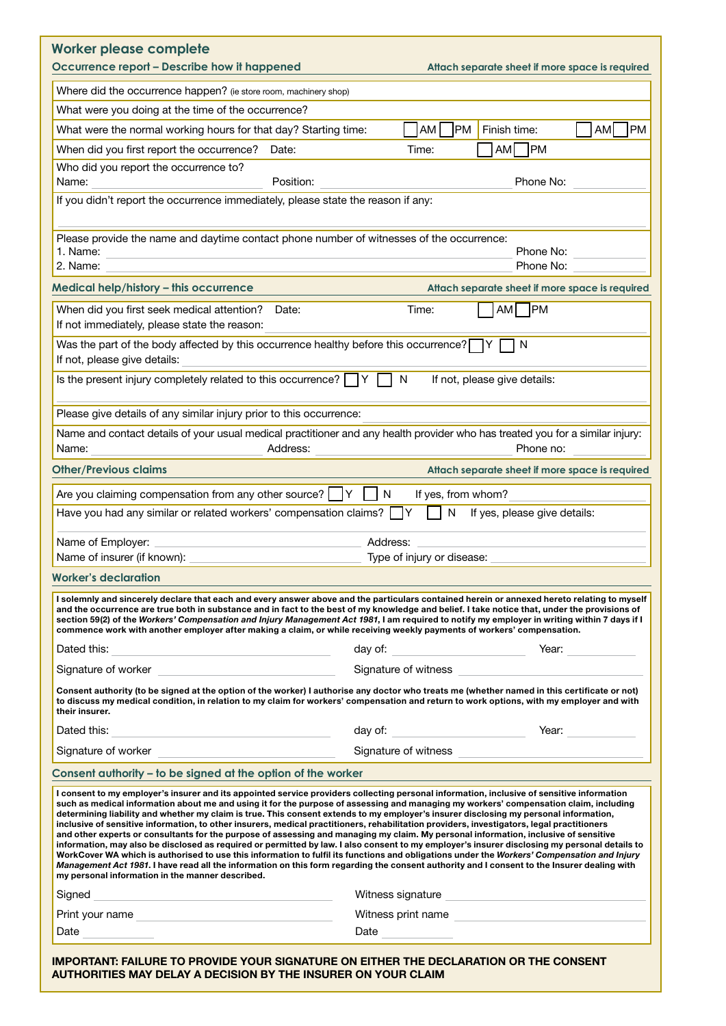| Where did the occurrence happen? (ie store room, machinery shop)<br>What were you doing at the time of the occurrence?<br>PM<br><b>PM</b><br>AM<br>Finish time:<br>AM<br>What were the normal working hours for that day? Starting time:<br>AM<br><b>PM</b><br>When did you first report the occurrence?<br>Date:<br>Time:<br>Who did you report the occurrence to?<br>Position:<br>Phone No:<br>Name:<br>If you didn't report the occurrence immediately, please state the reason if any:<br>Please provide the name and daytime contact phone number of witnesses of the occurrence:<br>1. Name:<br>Phone No:<br>2. Name:<br>Phone No:<br>Attach separate sheet if more space is required<br>$\neg$ PM<br>AM<br>When did you first seek medical attention?<br>Time:<br>Date:<br>If not immediately, please state the reason:<br>Was the part of the body affected by this occurrence healthy before this occurrence?<br>N<br>If not, please give details:<br>Is the present injury completely related to this occurrence? $\Box Y$<br>N<br>If not, please give details:<br>Please give details of any similar injury prior to this occurrence:<br>Name and contact details of your usual medical practitioner and any health provider who has treated you for a similar injury:<br>Name:<br>Address:<br>Phone no:<br>Attach separate sheet if more space is required<br>Are you claiming compensation from any other source?<br>N<br>If yes, from whom?<br>IY<br>Have you had any similar or related workers' compensation claims?<br>N<br>If yes, please give details:<br>Name of Employer:<br>Address:<br>Name of insurer (if known):<br>Type of injury or disease:<br>I solemnly and sincerely declare that each and every answer above and the particulars contained herein or annexed hereto relating to myself<br>and the occurrence are true both in substance and in fact to the best of my knowledge and belief. I take notice that, under the provisions of<br>section 59(2) of the Workers' Compensation and Injury Management Act 1981, I am required to notify my employer in writing within 7 days if I<br>commence work with another employer after making a claim, or while receiving weekly payments of workers' compensation.<br>Dated this:<br>day of: __________________________<br>Year: when the control of the control of the control of the control of the control of the control of the control of the control of the control of the control of the control of the control of the control of the control of t<br>Signature of witness<br>Consent authority (to be signed at the option of the worker) I authorise any doctor who treats me (whether named in this certificate or not)<br>to discuss my medical condition, in relation to my claim for workers' compensation and return to work options, with my employer and with<br>their insurer.<br>Year:<br>Dated this:<br>Signature of witness<br>Signature of worker<br>I consent to my employer's insurer and its appointed service providers collecting personal information, inclusive of sensitive information<br>such as medical information about me and using it for the purpose of assessing and managing my workers' compensation claim, including<br>determining liability and whether my claim is true. This consent extends to my employer's insurer disclosing my personal information,<br>inclusive of sensitive information, to other insurers, medical practitioners, rehabilitation providers, investigators, legal practitioners<br>and other experts or consultants for the purpose of assessing and managing my claim. My personal information, inclusive of sensitive<br>information, may also be disclosed as required or permitted by law. I also consent to my employer's insurer disclosing my personal details to<br>WorkCover WA which is authorised to use this information to fulfil its functions and obligations under the <i>Workers' Compensation and Injury</i><br><i>Management Act 1981</i> . I have read all the information on this form regarding the consent authority and I consent to the Insurer dealing with<br>my personal information in the manner described.<br>Witness signature Nitra and Services and Services and Services and Services and Services and Services and Services<br>Signed<br><u> 2002 - An Dùbhlachd ann an Dùbhlachd ann an Dùbhlachd ann an Dùbhlachd ann an Dùbhlachd ann an Dùbhlachd ann an </u><br>Witness print name | <b>Worker please complete</b><br>Occurrence report - Describe how it happened |  |  | Attach separate sheet if more space is required |  |  |  |
|---------------------------------------------------------------------------------------------------------------------------------------------------------------------------------------------------------------------------------------------------------------------------------------------------------------------------------------------------------------------------------------------------------------------------------------------------------------------------------------------------------------------------------------------------------------------------------------------------------------------------------------------------------------------------------------------------------------------------------------------------------------------------------------------------------------------------------------------------------------------------------------------------------------------------------------------------------------------------------------------------------------------------------------------------------------------------------------------------------------------------------------------------------------------------------------------------------------------------------------------------------------------------------------------------------------------------------------------------------------------------------------------------------------------------------------------------------------------------------------------------------------------------------------------------------------------------------------------------------------------------------------------------------------------------------------------------------------------------------------------------------------------------------------------------------------------------------------------------------------------------------------------------------------------------------------------------------------------------------------------------------------------------------------------------------------------------------------------------------------------------------------------------------------------------------------------------------------------------------------------------------------------------------------------------------------------------------------------------------------------------------------------------------------------------------------------------------------------------------------------------------------------------------------------------------------------------------------------------------------------------------------------------------------------------------------------------------------------------------------------------------------------------------------------------------------------------------------------------------------------------------------------------------------------------------------------------------------------------------------------------------------------------------------------------------------------------------------------------------------------------------------------------------------------------------------------------------------------------------------------------------------------------------------------------------------------------------------------------------------------------------------------------------------------------------------------------------------------------------------------------------------------------------------------------------------------------------------------------------------------------------------------------------------------------------------------------------------------------------------------------------------------------------------------------------------------------------------------------------------------------------------------------------------------------------------------------------------------------------------------------------------------------------------------------------------------------------------------------------------------------------------------------------------------------------------------------------------------------------------------------------------------------------------------------------------------------------------------------------------------------------------------------------------------------------------------------------------------------------|-------------------------------------------------------------------------------|--|--|-------------------------------------------------|--|--|--|
| Worker's declaration<br>Consent authority - to be signed at the option of the worker                                                                                                                                                                                                                                                                                                                                                                                                                                                                                                                                                                                                                                                                                                                                                                                                                                                                                                                                                                                                                                                                                                                                                                                                                                                                                                                                                                                                                                                                                                                                                                                                                                                                                                                                                                                                                                                                                                                                                                                                                                                                                                                                                                                                                                                                                                                                                                                                                                                                                                                                                                                                                                                                                                                                                                                                                                                                                                                                                                                                                                                                                                                                                                                                                                                                                                                                                                                                                                                                                                                                                                                                                                                                                                                                                                                                                                                                                                                                                                                                                                                                                                                                                                                                                                                                                                                                                                                            |                                                                               |  |  |                                                 |  |  |  |
|                                                                                                                                                                                                                                                                                                                                                                                                                                                                                                                                                                                                                                                                                                                                                                                                                                                                                                                                                                                                                                                                                                                                                                                                                                                                                                                                                                                                                                                                                                                                                                                                                                                                                                                                                                                                                                                                                                                                                                                                                                                                                                                                                                                                                                                                                                                                                                                                                                                                                                                                                                                                                                                                                                                                                                                                                                                                                                                                                                                                                                                                                                                                                                                                                                                                                                                                                                                                                                                                                                                                                                                                                                                                                                                                                                                                                                                                                                                                                                                                                                                                                                                                                                                                                                                                                                                                                                                                                                                                                 |                                                                               |  |  |                                                 |  |  |  |
|                                                                                                                                                                                                                                                                                                                                                                                                                                                                                                                                                                                                                                                                                                                                                                                                                                                                                                                                                                                                                                                                                                                                                                                                                                                                                                                                                                                                                                                                                                                                                                                                                                                                                                                                                                                                                                                                                                                                                                                                                                                                                                                                                                                                                                                                                                                                                                                                                                                                                                                                                                                                                                                                                                                                                                                                                                                                                                                                                                                                                                                                                                                                                                                                                                                                                                                                                                                                                                                                                                                                                                                                                                                                                                                                                                                                                                                                                                                                                                                                                                                                                                                                                                                                                                                                                                                                                                                                                                                                                 |                                                                               |  |  |                                                 |  |  |  |
|                                                                                                                                                                                                                                                                                                                                                                                                                                                                                                                                                                                                                                                                                                                                                                                                                                                                                                                                                                                                                                                                                                                                                                                                                                                                                                                                                                                                                                                                                                                                                                                                                                                                                                                                                                                                                                                                                                                                                                                                                                                                                                                                                                                                                                                                                                                                                                                                                                                                                                                                                                                                                                                                                                                                                                                                                                                                                                                                                                                                                                                                                                                                                                                                                                                                                                                                                                                                                                                                                                                                                                                                                                                                                                                                                                                                                                                                                                                                                                                                                                                                                                                                                                                                                                                                                                                                                                                                                                                                                 |                                                                               |  |  |                                                 |  |  |  |
| Medical help/history - this occurrence<br><b>Other/Previous claims</b>                                                                                                                                                                                                                                                                                                                                                                                                                                                                                                                                                                                                                                                                                                                                                                                                                                                                                                                                                                                                                                                                                                                                                                                                                                                                                                                                                                                                                                                                                                                                                                                                                                                                                                                                                                                                                                                                                                                                                                                                                                                                                                                                                                                                                                                                                                                                                                                                                                                                                                                                                                                                                                                                                                                                                                                                                                                                                                                                                                                                                                                                                                                                                                                                                                                                                                                                                                                                                                                                                                                                                                                                                                                                                                                                                                                                                                                                                                                                                                                                                                                                                                                                                                                                                                                                                                                                                                                                          |                                                                               |  |  |                                                 |  |  |  |
|                                                                                                                                                                                                                                                                                                                                                                                                                                                                                                                                                                                                                                                                                                                                                                                                                                                                                                                                                                                                                                                                                                                                                                                                                                                                                                                                                                                                                                                                                                                                                                                                                                                                                                                                                                                                                                                                                                                                                                                                                                                                                                                                                                                                                                                                                                                                                                                                                                                                                                                                                                                                                                                                                                                                                                                                                                                                                                                                                                                                                                                                                                                                                                                                                                                                                                                                                                                                                                                                                                                                                                                                                                                                                                                                                                                                                                                                                                                                                                                                                                                                                                                                                                                                                                                                                                                                                                                                                                                                                 |                                                                               |  |  |                                                 |  |  |  |
|                                                                                                                                                                                                                                                                                                                                                                                                                                                                                                                                                                                                                                                                                                                                                                                                                                                                                                                                                                                                                                                                                                                                                                                                                                                                                                                                                                                                                                                                                                                                                                                                                                                                                                                                                                                                                                                                                                                                                                                                                                                                                                                                                                                                                                                                                                                                                                                                                                                                                                                                                                                                                                                                                                                                                                                                                                                                                                                                                                                                                                                                                                                                                                                                                                                                                                                                                                                                                                                                                                                                                                                                                                                                                                                                                                                                                                                                                                                                                                                                                                                                                                                                                                                                                                                                                                                                                                                                                                                                                 |                                                                               |  |  |                                                 |  |  |  |
|                                                                                                                                                                                                                                                                                                                                                                                                                                                                                                                                                                                                                                                                                                                                                                                                                                                                                                                                                                                                                                                                                                                                                                                                                                                                                                                                                                                                                                                                                                                                                                                                                                                                                                                                                                                                                                                                                                                                                                                                                                                                                                                                                                                                                                                                                                                                                                                                                                                                                                                                                                                                                                                                                                                                                                                                                                                                                                                                                                                                                                                                                                                                                                                                                                                                                                                                                                                                                                                                                                                                                                                                                                                                                                                                                                                                                                                                                                                                                                                                                                                                                                                                                                                                                                                                                                                                                                                                                                                                                 |                                                                               |  |  |                                                 |  |  |  |
|                                                                                                                                                                                                                                                                                                                                                                                                                                                                                                                                                                                                                                                                                                                                                                                                                                                                                                                                                                                                                                                                                                                                                                                                                                                                                                                                                                                                                                                                                                                                                                                                                                                                                                                                                                                                                                                                                                                                                                                                                                                                                                                                                                                                                                                                                                                                                                                                                                                                                                                                                                                                                                                                                                                                                                                                                                                                                                                                                                                                                                                                                                                                                                                                                                                                                                                                                                                                                                                                                                                                                                                                                                                                                                                                                                                                                                                                                                                                                                                                                                                                                                                                                                                                                                                                                                                                                                                                                                                                                 |                                                                               |  |  |                                                 |  |  |  |
|                                                                                                                                                                                                                                                                                                                                                                                                                                                                                                                                                                                                                                                                                                                                                                                                                                                                                                                                                                                                                                                                                                                                                                                                                                                                                                                                                                                                                                                                                                                                                                                                                                                                                                                                                                                                                                                                                                                                                                                                                                                                                                                                                                                                                                                                                                                                                                                                                                                                                                                                                                                                                                                                                                                                                                                                                                                                                                                                                                                                                                                                                                                                                                                                                                                                                                                                                                                                                                                                                                                                                                                                                                                                                                                                                                                                                                                                                                                                                                                                                                                                                                                                                                                                                                                                                                                                                                                                                                                                                 |                                                                               |  |  |                                                 |  |  |  |
|                                                                                                                                                                                                                                                                                                                                                                                                                                                                                                                                                                                                                                                                                                                                                                                                                                                                                                                                                                                                                                                                                                                                                                                                                                                                                                                                                                                                                                                                                                                                                                                                                                                                                                                                                                                                                                                                                                                                                                                                                                                                                                                                                                                                                                                                                                                                                                                                                                                                                                                                                                                                                                                                                                                                                                                                                                                                                                                                                                                                                                                                                                                                                                                                                                                                                                                                                                                                                                                                                                                                                                                                                                                                                                                                                                                                                                                                                                                                                                                                                                                                                                                                                                                                                                                                                                                                                                                                                                                                                 |                                                                               |  |  |                                                 |  |  |  |
|                                                                                                                                                                                                                                                                                                                                                                                                                                                                                                                                                                                                                                                                                                                                                                                                                                                                                                                                                                                                                                                                                                                                                                                                                                                                                                                                                                                                                                                                                                                                                                                                                                                                                                                                                                                                                                                                                                                                                                                                                                                                                                                                                                                                                                                                                                                                                                                                                                                                                                                                                                                                                                                                                                                                                                                                                                                                                                                                                                                                                                                                                                                                                                                                                                                                                                                                                                                                                                                                                                                                                                                                                                                                                                                                                                                                                                                                                                                                                                                                                                                                                                                                                                                                                                                                                                                                                                                                                                                                                 |                                                                               |  |  |                                                 |  |  |  |
|                                                                                                                                                                                                                                                                                                                                                                                                                                                                                                                                                                                                                                                                                                                                                                                                                                                                                                                                                                                                                                                                                                                                                                                                                                                                                                                                                                                                                                                                                                                                                                                                                                                                                                                                                                                                                                                                                                                                                                                                                                                                                                                                                                                                                                                                                                                                                                                                                                                                                                                                                                                                                                                                                                                                                                                                                                                                                                                                                                                                                                                                                                                                                                                                                                                                                                                                                                                                                                                                                                                                                                                                                                                                                                                                                                                                                                                                                                                                                                                                                                                                                                                                                                                                                                                                                                                                                                                                                                                                                 |                                                                               |  |  |                                                 |  |  |  |
|                                                                                                                                                                                                                                                                                                                                                                                                                                                                                                                                                                                                                                                                                                                                                                                                                                                                                                                                                                                                                                                                                                                                                                                                                                                                                                                                                                                                                                                                                                                                                                                                                                                                                                                                                                                                                                                                                                                                                                                                                                                                                                                                                                                                                                                                                                                                                                                                                                                                                                                                                                                                                                                                                                                                                                                                                                                                                                                                                                                                                                                                                                                                                                                                                                                                                                                                                                                                                                                                                                                                                                                                                                                                                                                                                                                                                                                                                                                                                                                                                                                                                                                                                                                                                                                                                                                                                                                                                                                                                 |                                                                               |  |  |                                                 |  |  |  |
|                                                                                                                                                                                                                                                                                                                                                                                                                                                                                                                                                                                                                                                                                                                                                                                                                                                                                                                                                                                                                                                                                                                                                                                                                                                                                                                                                                                                                                                                                                                                                                                                                                                                                                                                                                                                                                                                                                                                                                                                                                                                                                                                                                                                                                                                                                                                                                                                                                                                                                                                                                                                                                                                                                                                                                                                                                                                                                                                                                                                                                                                                                                                                                                                                                                                                                                                                                                                                                                                                                                                                                                                                                                                                                                                                                                                                                                                                                                                                                                                                                                                                                                                                                                                                                                                                                                                                                                                                                                                                 |                                                                               |  |  |                                                 |  |  |  |
|                                                                                                                                                                                                                                                                                                                                                                                                                                                                                                                                                                                                                                                                                                                                                                                                                                                                                                                                                                                                                                                                                                                                                                                                                                                                                                                                                                                                                                                                                                                                                                                                                                                                                                                                                                                                                                                                                                                                                                                                                                                                                                                                                                                                                                                                                                                                                                                                                                                                                                                                                                                                                                                                                                                                                                                                                                                                                                                                                                                                                                                                                                                                                                                                                                                                                                                                                                                                                                                                                                                                                                                                                                                                                                                                                                                                                                                                                                                                                                                                                                                                                                                                                                                                                                                                                                                                                                                                                                                                                 |                                                                               |  |  |                                                 |  |  |  |
|                                                                                                                                                                                                                                                                                                                                                                                                                                                                                                                                                                                                                                                                                                                                                                                                                                                                                                                                                                                                                                                                                                                                                                                                                                                                                                                                                                                                                                                                                                                                                                                                                                                                                                                                                                                                                                                                                                                                                                                                                                                                                                                                                                                                                                                                                                                                                                                                                                                                                                                                                                                                                                                                                                                                                                                                                                                                                                                                                                                                                                                                                                                                                                                                                                                                                                                                                                                                                                                                                                                                                                                                                                                                                                                                                                                                                                                                                                                                                                                                                                                                                                                                                                                                                                                                                                                                                                                                                                                                                 |                                                                               |  |  |                                                 |  |  |  |
|                                                                                                                                                                                                                                                                                                                                                                                                                                                                                                                                                                                                                                                                                                                                                                                                                                                                                                                                                                                                                                                                                                                                                                                                                                                                                                                                                                                                                                                                                                                                                                                                                                                                                                                                                                                                                                                                                                                                                                                                                                                                                                                                                                                                                                                                                                                                                                                                                                                                                                                                                                                                                                                                                                                                                                                                                                                                                                                                                                                                                                                                                                                                                                                                                                                                                                                                                                                                                                                                                                                                                                                                                                                                                                                                                                                                                                                                                                                                                                                                                                                                                                                                                                                                                                                                                                                                                                                                                                                                                 |                                                                               |  |  |                                                 |  |  |  |
|                                                                                                                                                                                                                                                                                                                                                                                                                                                                                                                                                                                                                                                                                                                                                                                                                                                                                                                                                                                                                                                                                                                                                                                                                                                                                                                                                                                                                                                                                                                                                                                                                                                                                                                                                                                                                                                                                                                                                                                                                                                                                                                                                                                                                                                                                                                                                                                                                                                                                                                                                                                                                                                                                                                                                                                                                                                                                                                                                                                                                                                                                                                                                                                                                                                                                                                                                                                                                                                                                                                                                                                                                                                                                                                                                                                                                                                                                                                                                                                                                                                                                                                                                                                                                                                                                                                                                                                                                                                                                 |                                                                               |  |  |                                                 |  |  |  |
|                                                                                                                                                                                                                                                                                                                                                                                                                                                                                                                                                                                                                                                                                                                                                                                                                                                                                                                                                                                                                                                                                                                                                                                                                                                                                                                                                                                                                                                                                                                                                                                                                                                                                                                                                                                                                                                                                                                                                                                                                                                                                                                                                                                                                                                                                                                                                                                                                                                                                                                                                                                                                                                                                                                                                                                                                                                                                                                                                                                                                                                                                                                                                                                                                                                                                                                                                                                                                                                                                                                                                                                                                                                                                                                                                                                                                                                                                                                                                                                                                                                                                                                                                                                                                                                                                                                                                                                                                                                                                 |                                                                               |  |  |                                                 |  |  |  |
|                                                                                                                                                                                                                                                                                                                                                                                                                                                                                                                                                                                                                                                                                                                                                                                                                                                                                                                                                                                                                                                                                                                                                                                                                                                                                                                                                                                                                                                                                                                                                                                                                                                                                                                                                                                                                                                                                                                                                                                                                                                                                                                                                                                                                                                                                                                                                                                                                                                                                                                                                                                                                                                                                                                                                                                                                                                                                                                                                                                                                                                                                                                                                                                                                                                                                                                                                                                                                                                                                                                                                                                                                                                                                                                                                                                                                                                                                                                                                                                                                                                                                                                                                                                                                                                                                                                                                                                                                                                                                 |                                                                               |  |  |                                                 |  |  |  |
|                                                                                                                                                                                                                                                                                                                                                                                                                                                                                                                                                                                                                                                                                                                                                                                                                                                                                                                                                                                                                                                                                                                                                                                                                                                                                                                                                                                                                                                                                                                                                                                                                                                                                                                                                                                                                                                                                                                                                                                                                                                                                                                                                                                                                                                                                                                                                                                                                                                                                                                                                                                                                                                                                                                                                                                                                                                                                                                                                                                                                                                                                                                                                                                                                                                                                                                                                                                                                                                                                                                                                                                                                                                                                                                                                                                                                                                                                                                                                                                                                                                                                                                                                                                                                                                                                                                                                                                                                                                                                 |                                                                               |  |  |                                                 |  |  |  |
|                                                                                                                                                                                                                                                                                                                                                                                                                                                                                                                                                                                                                                                                                                                                                                                                                                                                                                                                                                                                                                                                                                                                                                                                                                                                                                                                                                                                                                                                                                                                                                                                                                                                                                                                                                                                                                                                                                                                                                                                                                                                                                                                                                                                                                                                                                                                                                                                                                                                                                                                                                                                                                                                                                                                                                                                                                                                                                                                                                                                                                                                                                                                                                                                                                                                                                                                                                                                                                                                                                                                                                                                                                                                                                                                                                                                                                                                                                                                                                                                                                                                                                                                                                                                                                                                                                                                                                                                                                                                                 |                                                                               |  |  |                                                 |  |  |  |
|                                                                                                                                                                                                                                                                                                                                                                                                                                                                                                                                                                                                                                                                                                                                                                                                                                                                                                                                                                                                                                                                                                                                                                                                                                                                                                                                                                                                                                                                                                                                                                                                                                                                                                                                                                                                                                                                                                                                                                                                                                                                                                                                                                                                                                                                                                                                                                                                                                                                                                                                                                                                                                                                                                                                                                                                                                                                                                                                                                                                                                                                                                                                                                                                                                                                                                                                                                                                                                                                                                                                                                                                                                                                                                                                                                                                                                                                                                                                                                                                                                                                                                                                                                                                                                                                                                                                                                                                                                                                                 |                                                                               |  |  |                                                 |  |  |  |
|                                                                                                                                                                                                                                                                                                                                                                                                                                                                                                                                                                                                                                                                                                                                                                                                                                                                                                                                                                                                                                                                                                                                                                                                                                                                                                                                                                                                                                                                                                                                                                                                                                                                                                                                                                                                                                                                                                                                                                                                                                                                                                                                                                                                                                                                                                                                                                                                                                                                                                                                                                                                                                                                                                                                                                                                                                                                                                                                                                                                                                                                                                                                                                                                                                                                                                                                                                                                                                                                                                                                                                                                                                                                                                                                                                                                                                                                                                                                                                                                                                                                                                                                                                                                                                                                                                                                                                                                                                                                                 |                                                                               |  |  |                                                 |  |  |  |
|                                                                                                                                                                                                                                                                                                                                                                                                                                                                                                                                                                                                                                                                                                                                                                                                                                                                                                                                                                                                                                                                                                                                                                                                                                                                                                                                                                                                                                                                                                                                                                                                                                                                                                                                                                                                                                                                                                                                                                                                                                                                                                                                                                                                                                                                                                                                                                                                                                                                                                                                                                                                                                                                                                                                                                                                                                                                                                                                                                                                                                                                                                                                                                                                                                                                                                                                                                                                                                                                                                                                                                                                                                                                                                                                                                                                                                                                                                                                                                                                                                                                                                                                                                                                                                                                                                                                                                                                                                                                                 |                                                                               |  |  |                                                 |  |  |  |
|                                                                                                                                                                                                                                                                                                                                                                                                                                                                                                                                                                                                                                                                                                                                                                                                                                                                                                                                                                                                                                                                                                                                                                                                                                                                                                                                                                                                                                                                                                                                                                                                                                                                                                                                                                                                                                                                                                                                                                                                                                                                                                                                                                                                                                                                                                                                                                                                                                                                                                                                                                                                                                                                                                                                                                                                                                                                                                                                                                                                                                                                                                                                                                                                                                                                                                                                                                                                                                                                                                                                                                                                                                                                                                                                                                                                                                                                                                                                                                                                                                                                                                                                                                                                                                                                                                                                                                                                                                                                                 |                                                                               |  |  |                                                 |  |  |  |
|                                                                                                                                                                                                                                                                                                                                                                                                                                                                                                                                                                                                                                                                                                                                                                                                                                                                                                                                                                                                                                                                                                                                                                                                                                                                                                                                                                                                                                                                                                                                                                                                                                                                                                                                                                                                                                                                                                                                                                                                                                                                                                                                                                                                                                                                                                                                                                                                                                                                                                                                                                                                                                                                                                                                                                                                                                                                                                                                                                                                                                                                                                                                                                                                                                                                                                                                                                                                                                                                                                                                                                                                                                                                                                                                                                                                                                                                                                                                                                                                                                                                                                                                                                                                                                                                                                                                                                                                                                                                                 |                                                                               |  |  |                                                 |  |  |  |
|                                                                                                                                                                                                                                                                                                                                                                                                                                                                                                                                                                                                                                                                                                                                                                                                                                                                                                                                                                                                                                                                                                                                                                                                                                                                                                                                                                                                                                                                                                                                                                                                                                                                                                                                                                                                                                                                                                                                                                                                                                                                                                                                                                                                                                                                                                                                                                                                                                                                                                                                                                                                                                                                                                                                                                                                                                                                                                                                                                                                                                                                                                                                                                                                                                                                                                                                                                                                                                                                                                                                                                                                                                                                                                                                                                                                                                                                                                                                                                                                                                                                                                                                                                                                                                                                                                                                                                                                                                                                                 |                                                                               |  |  |                                                 |  |  |  |
| Date<br>Date                                                                                                                                                                                                                                                                                                                                                                                                                                                                                                                                                                                                                                                                                                                                                                                                                                                                                                                                                                                                                                                                                                                                                                                                                                                                                                                                                                                                                                                                                                                                                                                                                                                                                                                                                                                                                                                                                                                                                                                                                                                                                                                                                                                                                                                                                                                                                                                                                                                                                                                                                                                                                                                                                                                                                                                                                                                                                                                                                                                                                                                                                                                                                                                                                                                                                                                                                                                                                                                                                                                                                                                                                                                                                                                                                                                                                                                                                                                                                                                                                                                                                                                                                                                                                                                                                                                                                                                                                                                                    |                                                                               |  |  |                                                 |  |  |  |

IMPORTANT: FAILURE TO PROVIDE YOUR SIGNATURE ON EITHER THE DECLARATION OR THE CONSENT AUTHORITIES MAY DELAY A DECISION BY THE INSURER ON YOUR CLAIM